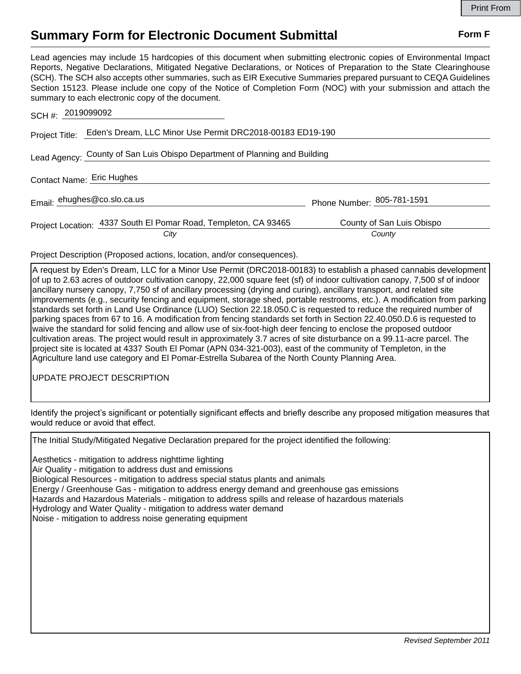## **Summary Form for Electronic Document Submittal Form F Form F**

Lead agencies may include 15 hardcopies of this document when submitting electronic copies of Environmental Impact Reports, Negative Declarations, Mitigated Negative Declarations, or Notices of Preparation to the State Clearinghouse (SCH). The SCH also accepts other summaries, such as EIR Executive Summaries prepared pursuant to CEQA Guidelines Section 15123. Please include one copy of the Notice of Completion Form (NOC) with your submission and attach the summary to each electronic copy of the document.

| SCH #: 2019099092                                                          |                                     |
|----------------------------------------------------------------------------|-------------------------------------|
| Project Title: Eden's Dream, LLC Minor Use Permit DRC2018-00183 ED19-190   |                                     |
| Lead Agency: County of San Luis Obispo Department of Planning and Building |                                     |
| Contact Name: Eric Hughes                                                  |                                     |
| Email: ehughes@co.slo.ca.us                                                | Phone Number: 805-781-1591          |
| Project Location: 4337 South El Pomar Road, Templeton, CA 93465<br>City    | County of San Luis Obispo<br>County |

Project Description (Proposed actions, location, and/or consequences).

A request by Eden's Dream, LLC for a Minor Use Permit (DRC2018-00183) to establish a phased cannabis development of up to 2.63 acres of outdoor cultivation canopy, 22,000 square feet (sf) of indoor cultivation canopy, 7,500 sf of indoor ancillary nursery canopy, 7,750 sf of ancillary processing (drying and curing), ancillary transport, and related site improvements (e.g., security fencing and equipment, storage shed, portable restrooms, etc.). A modification from parking standards set forth in Land Use Ordinance (LUO) Section 22.18.050.C is requested to reduce the required number of parking spaces from 67 to 16. A modification from fencing standards set forth in Section 22.40.050.D.6 is requested to waive the standard for solid fencing and allow use of six-foot-high deer fencing to enclose the proposed outdoor cultivation areas. The project would result in approximately 3.7 acres of site disturbance on a 99.11-acre parcel. The project site is located at 4337 South El Pomar (APN 034-321-003), east of the community of Templeton, in the Agriculture land use category and El Pomar-Estrella Subarea of the North County Planning Area.

UPDATE PROJECT DESCRIPTION

Identify the project's significant or potentially significant effects and briefly describe any proposed mitigation measures that would reduce or avoid that effect.

The Initial Study/Mitigated Negative Declaration prepared for the project identified the following:

Aesthetics - mitigation to address nighttime lighting Air Quality - mitigation to address dust and emissions Biological Resources - mitigation to address special status plants and animals Energy / Greenhouse Gas - mitigation to address energy demand and greenhouse gas emissions Hazards and Hazardous Materials - mitigation to address spills and release of hazardous materials Hydrology and Water Quality - mitigation to address water demand Noise - mitigation to address noise generating equipment